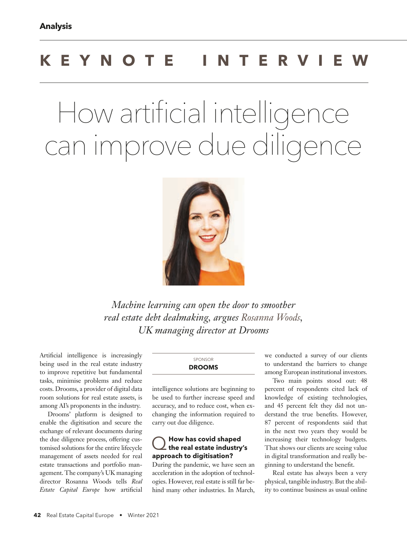# **KEYNOTE INTERVIEW**

# How artificial intelligence can improve due diligence



*Machine learning can open the door to smoother real estate debt dealmaking, argues Rosanna Woods, UK managing director at Drooms*

Artificial intelligence is increasingly being used in the real estate industry to improve repetitive but fundamental tasks, minimise problems and reduce costs. Drooms, a provider of digital data room solutions for real estate assets, is among AI's proponents in the industry.

Drooms' platform is designed to enable the digitisation and secure the exchange of relevant documents during the due diligence process, offering customised solutions for the entire lifecycle management of assets needed for real estate transactions and portfolio management. The company's UK managing director Rosanna Woods tells *Real Estate Capital Europe* how artificial

#### SPONSOR **DROOMS**

intelligence solutions are beginning to be used to further increase speed and accuracy, and to reduce cost, when exchanging the information required to carry out due diligence.

## Q **How has covid shaped the real estate industry's approach to digitisation?**

During the pandemic, we have seen an acceleration in the adoption of technologies. However, real estate is still far behind many other industries. In March, we conducted a survey of our clients to understand the barriers to change among European institutional investors.

Two main points stood out: 48 percent of respondents cited lack of knowledge of existing technologies, and 45 percent felt they did not understand the true benefits. However, 87 percent of respondents said that in the next two years they would be increasing their technology budgets. That shows our clients are seeing value in digital transformation and really beginning to understand the benefit.

Real estate has always been a very physical, tangible industry. But the ability to continue business as usual online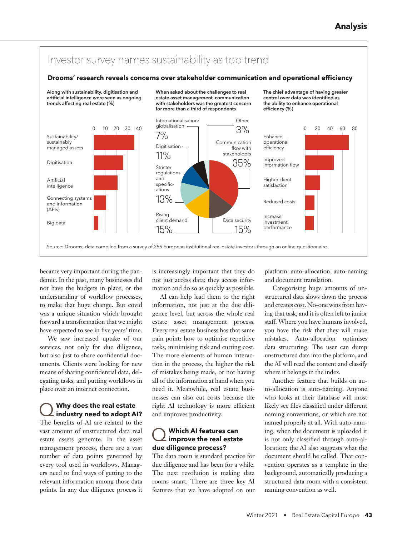

became very important during the pandemic. In the past, many businesses did not have the budgets in place, or the understanding of workflow processes, to make that huge change. But covid was a unique situation which brought forward a transformation that we might have expected to see in five years' time.

We saw increased uptake of our services, not only for due diligence, but also just to share confidential documents. Clients were looking for new means of sharing confidential data, delegating tasks, and putting workflows in place over an internet connection.

# Q **Why does the real estate industry need to adopt AI?**

The benefits of AI are related to the vast amount of unstructured data real estate assets generate. In the asset management process, there are a vast number of data points generated by every tool used in workflows. Managers need to find ways of getting to the relevant information among those data points. In any due diligence process it

is increasingly important that they do not just access data; they access information and do so as quickly as possible.

AI can help lead them to the right information, not just at the due diligence level, but across the whole real estate asset management process. Every real estate business has that same pain point: how to optimise repetitive tasks, minimising risk and cutting cost. The more elements of human interaction in the process, the higher the risk of mistakes being made, or not having all of the information at hand when you need it. Meanwhile, real estate businesses can also cut costs because the right AI technology is more efficient and improves productivity.

# Q **Which AI features can improve the real estate due diligence process?**

The data room is standard practice for due diligence and has been for a while. The next revolution is making data rooms smart. There are three key AI features that we have adopted on our platform: auto-allocation, auto-naming and document translation.

Categorising huge amounts of unstructured data slows down the process and creates cost. No-one wins from having that task, and it is often left to junior staff. Where you have humans involved, you have the risk that they will make mistakes. Auto-allocation optimises data structuring. The user can dump unstructured data into the platform, and the AI will read the content and classify where it belongs in the index.

Another feature that builds on auto-allocation is auto-naming. Anyone who looks at their database will most likely see files classified under different naming conventions, or which are not named properly at all. With auto-naming, when the document is uploaded it is not only classified through auto-allocation; the AI also suggests what the document should be called. That convention operates as a template in the background, automatically producing a structured data room with a consistent naming convention as well.